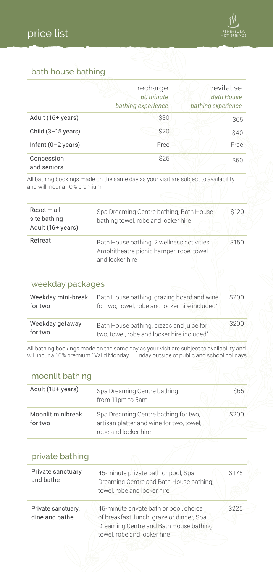

### bath house bathing

|                              | recharge<br>60 minute<br>bathing experience | revitalise<br><b>Bath House</b><br>bathing experience |
|------------------------------|---------------------------------------------|-------------------------------------------------------|
| Adult (16+ years)            | \$30                                        | \$65                                                  |
| Child $(3-15 \text{ years})$ | \$20                                        | \$40                                                  |
| Infant $(0-2 \text{ years})$ | Free                                        | Free                                                  |
| Concession<br>and seniors    | \$25                                        | \$50                                                  |

All bathing bookings made on the same day as your visit are subject to availability and will incur a 10% premium

| $Reset - all$<br>site bathing<br>Adult (16+ years) | Spa Dreaming Centre bathing, Bath House<br>bathing towel, robe and locker hire                           | <b>S120</b> |
|----------------------------------------------------|----------------------------------------------------------------------------------------------------------|-------------|
| Retreat                                            | Bath House bathing, 2 wellness activities,<br>Amphitheatre picnic hamper, robe, towel<br>and locker hire | \$150       |

#### weekday packages

| Weekday mini-break<br>for two | Bath House bathing, grazing board and wine<br>for two, towel, robe and locker hire included* | \$200 |
|-------------------------------|----------------------------------------------------------------------------------------------|-------|
| Weekday getaway<br>for two    | Bath House bathing, pizzas and juice for<br>two, towel, robe and locker hire included*       | \$200 |

All bathing bookings made on the same day as your visit are subject to availability and will incur a 10% premium \* Valid Monday – Friday outside of public and school holidays

#### moonlit bathing

| Adult (18+ years)            | Spa Dreaming Centre bathing<br>from 11pm to 5am                                                          | <b>S65</b> |
|------------------------------|----------------------------------------------------------------------------------------------------------|------------|
| Moonlit minibreak<br>for two | Spa Dreaming Centre bathing for two.<br>artisan platter and wine for two, towel,<br>robe and locker hire | \$200      |

| private bathing                      |                                                                                                                                                               |       |
|--------------------------------------|---------------------------------------------------------------------------------------------------------------------------------------------------------------|-------|
| Private sanctuary<br>and bathe       | 45-minute private bath or pool, Spa<br>Dreaming Centre and Bath House bathing,<br>towel, robe and locker hire                                                 | \$175 |
| Private sanctuary,<br>dine and bathe | 45-minute private bath or pool, choice<br>of breakfast, lunch, graze or dinner, Spa<br>Dreaming Centre and Bath House bathing,<br>towel, robe and locker hire | \$225 |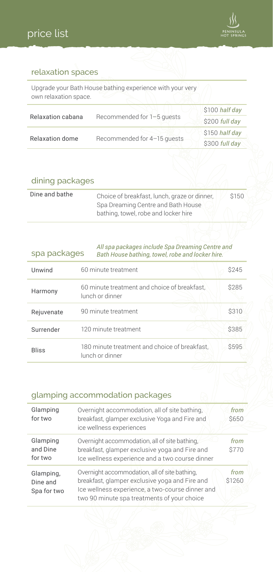

### relaxation spaces

Upgrade your Bath House bathing experience with your very own relaxation space.

|                   |                             | \$100 half day |
|-------------------|-----------------------------|----------------|
| Relaxation cabana | Recommended for 1-5 quests  | \$200 full day |
|                   |                             | \$150 half day |
| Relaxation dome   | Recommended for 4-15 quests | \$300 full day |

### dining packages

| Dine and bathe | Choice of breakfast, lunch, graze or dinner,<br>Spa Dreaming Centre and Bath House | \$150 |
|----------------|------------------------------------------------------------------------------------|-------|
|                | bathing, towel, robe and locker hire                                               |       |

| All spa packages include Spa Dreaming Centre and<br>spa packages<br>Bath House bathing, towel, robe and locker hire. |                                                                  |       |
|----------------------------------------------------------------------------------------------------------------------|------------------------------------------------------------------|-------|
| Unwind                                                                                                               | 60 minute treatment                                              | \$245 |
| Harmony                                                                                                              | 60 minute treatment and choice of breakfast.<br>lunch or dinner  | \$285 |
| Rejuvenate                                                                                                           | 90 minute treatment                                              | \$310 |
| Surrender                                                                                                            | 120 minute treatment                                             | \$385 |
| <b>Bliss</b>                                                                                                         | 180 minute treatment and choice of breakfast.<br>lunch or dinner | \$595 |

### glamping accommodation packages

| Glamping<br>for two                  | Overnight accommodation, all of site bathing,<br>breakfast, glamper exclusive Yoga and Fire and<br>ice wellness experiences                                                                        | from<br><b>S650</b> |  |
|--------------------------------------|----------------------------------------------------------------------------------------------------------------------------------------------------------------------------------------------------|---------------------|--|
| Glamping<br>and Dine<br>for two      | Overnight accommodation, all of site bathing,<br>breakfast, glamper exclusive yoga and Fire and<br>Ice wellness experience and a two course dinner                                                 | from<br>\$770       |  |
| Glamping,<br>Dine and<br>Spa for two | Overnight accommodation, all of site bathing,<br>breakfast, glamper exclusive yoga and Fire and<br>Ice wellness experience, a two-course dinner and<br>two 90 minute spa treatments of your choice | from<br>\$1260      |  |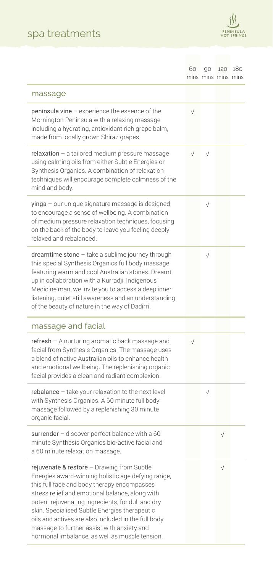# spa treatments



|                                                                                                                                                                                                                                                                                                                                                                                                                                                                 | 60        | mins mins mins mins | 90 120 180 |  |
|-----------------------------------------------------------------------------------------------------------------------------------------------------------------------------------------------------------------------------------------------------------------------------------------------------------------------------------------------------------------------------------------------------------------------------------------------------------------|-----------|---------------------|------------|--|
| massage                                                                                                                                                                                                                                                                                                                                                                                                                                                         |           |                     |            |  |
| peninsula vine - experience the essence of the<br>Mornington Peninsula with a relaxing massage<br>including a hydrating, antioxidant rich grape balm,<br>made from locally grown Shiraz grapes.                                                                                                                                                                                                                                                                 | $\sqrt{}$ |                     |            |  |
| relaxation - a tailored medium pressure massage<br>using calming oils from either Subtle Energies or<br>Synthesis Organics. A combination of relaxation<br>techniques will encourage complete calmness of the<br>mind and body.                                                                                                                                                                                                                                 | $\sqrt{}$ |                     |            |  |
| yinga - our unique signature massage is designed<br>to encourage a sense of wellbeing. A combination<br>of medium pressure relaxation techniques, focusing<br>on the back of the body to leave you feeling deeply<br>relaxed and rebalanced.                                                                                                                                                                                                                    |           | $\sqrt{}$           |            |  |
| dreamtime stone - take a sublime journey through<br>this special Synthesis Organics full body massage<br>featuring warm and cool Australian stones. Dreamt<br>up in collaboration with a Kurradji, Indigenous<br>Medicine man, we invite you to access a deep inner<br>listening, quiet still awareness and an understanding<br>of the beauty of nature in the way of Dadirri.                                                                                  |           | $\sqrt{}$           |            |  |
| massage and facial                                                                                                                                                                                                                                                                                                                                                                                                                                              |           |                     |            |  |
| $refresh - A nuturing aromatic back message and$<br>facial from Synthesis Organics. The massage uses<br>a blend of native Australian oils to enhance health<br>and emotional wellbeing. The replenishing organic<br>facial provides a clean and radiant complexion.                                                                                                                                                                                             | $\sqrt{}$ |                     |            |  |
| rebalance - take your relaxation to the next level<br>with Synthesis Organics. A 60 minute full body<br>massage followed by a replenishing 30 minute<br>organic facial.                                                                                                                                                                                                                                                                                         |           | $\sqrt{}$           |            |  |
| surrender - discover perfect balance with a 60<br>minute Synthesis Organics bio-active facial and<br>a 60 minute relaxation massage.                                                                                                                                                                                                                                                                                                                            |           |                     | $\sqrt{}$  |  |
| rejuvenate & restore - Drawing from Subtle<br>Energies award-winning holistic age defying range,<br>this full face and body therapy encompasses<br>stress relief and emotional balance, along with<br>potent rejuvenating ingredients, for dull and dry<br>skin. Specialised Subtle Energies therapeutic<br>oils and actives are also included in the full body<br>massage to further assist with anxiety and<br>hormonal imbalance, as well as muscle tension. |           |                     | $\sqrt{}$  |  |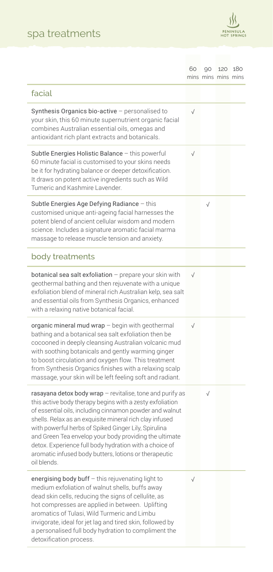# spa treatments



|                                                                                                                                                                                                                                                                                                                                                                                                                                                                                                 | 60        | 90<br>mins mins mins mins | 120 180 |  |
|-------------------------------------------------------------------------------------------------------------------------------------------------------------------------------------------------------------------------------------------------------------------------------------------------------------------------------------------------------------------------------------------------------------------------------------------------------------------------------------------------|-----------|---------------------------|---------|--|
| facial                                                                                                                                                                                                                                                                                                                                                                                                                                                                                          |           |                           |         |  |
| Synthesis Organics bio-active - personalised to<br>your skin, this 60 minute supernutrient organic facial<br>combines Australian essential oils, omegas and<br>antioxidant rich plant extracts and botanicals.                                                                                                                                                                                                                                                                                  | $\sqrt{}$ |                           |         |  |
| Subtle Energies Holistic Balance - this powerful<br>60 minute facial is customised to your skins needs<br>be it for hydrating balance or deeper detoxification.<br>It draws on potent active ingredients such as Wild<br>Tumeric and Kashmire Lavender.                                                                                                                                                                                                                                         | $\sqrt{}$ |                           |         |  |
| Subtle Energies Age Defying Radiance - this<br>customised unique anti-ageing facial harnesses the<br>potent blend of ancient cellular wisdom and modern<br>science. Includes a signature aromatic facial marma<br>massage to release muscle tension and anxiety.                                                                                                                                                                                                                                |           | $\sqrt{}$                 |         |  |
| body treatments                                                                                                                                                                                                                                                                                                                                                                                                                                                                                 |           |                           |         |  |
| botanical sea salt exfoliation - prepare your skin with<br>geothermal bathing and then rejuvenate with a unique<br>exfoliation blend of mineral rich Australian kelp, sea salt<br>and essential oils from Synthesis Organics, enhanced<br>with a relaxing native botanical facial.                                                                                                                                                                                                              | $\sqrt{}$ |                           |         |  |
| organic mineral mud wrap - begin with geothermal<br>bathing and a botanical sea salt exfoliation then be<br>cocooned in deeply cleansing Australian volcanic mud<br>with soothing botanicals and gently warming ginger<br>to boost circulation and oxygen flow. This treatment<br>from Synthesis Organics finishes with a relaxing scalp<br>massage, your skin will be left feeling soft and radiant.                                                                                           | $\sqrt{}$ |                           |         |  |
| rasayana detox body wrap - revitalise, tone and purify as<br>this active body therapy begins with a zesty exfoliation<br>of essential oils, including cinnamon powder and walnut<br>shells. Relax as an exquisite mineral rich clay infused<br>with powerful herbs of Spiked Ginger Lily, Spirulina<br>and Green Tea envelop your body providing the ultimate<br>detox. Experience full body hydration with a choice of<br>aromatic infused body butters, lotions or therapeutic<br>oil blends. |           | $\sqrt{}$                 |         |  |
| energising body buff - this rejuvenating light to<br>medium exfoliation of walnut shells, buffs away<br>dead skin cells, reducing the signs of cellulite, as<br>hot compresses are applied in between. Uplifting<br>aromatics of Tulasi, Wild Turmeric and Limbu<br>invigorate, ideal for jet lag and tired skin, followed by<br>a personalised full body hydration to compliment the<br>detoxification process.                                                                                | $\sqrt{}$ |                           |         |  |